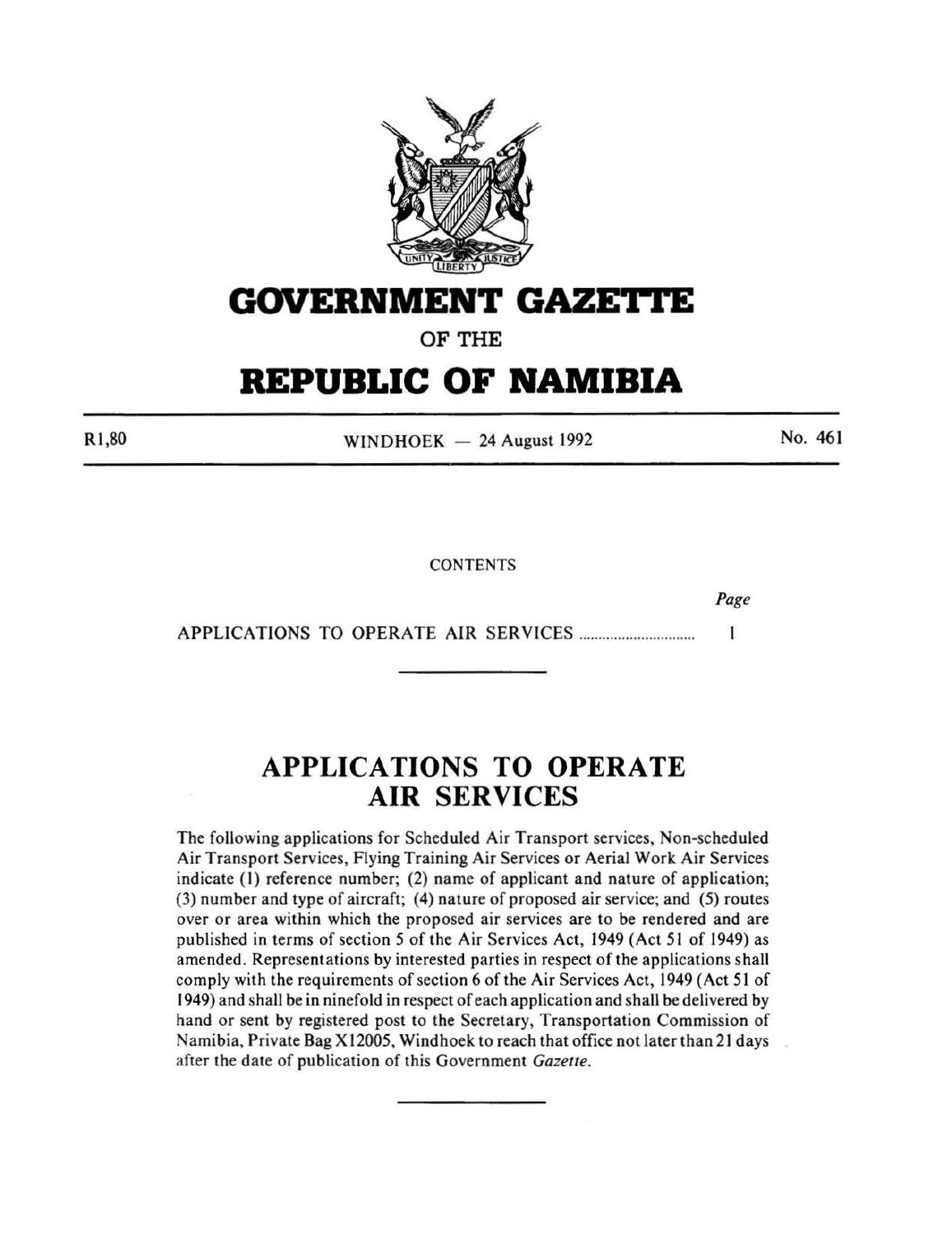

## **GOVERNMENT GAZETTE**

OF THE

# **REPUBLIC OF NAMIBIA**

Rl,80

 $WINDHOEK - 24$  August 1992

No. 461

**CONTENTS** 

*Page* 

APPLICATIONS TO OPERATE AIR SERVICES ............................. .  $\mathbf{1}$ 

## **APPLICATIONS TO OPERATE AIR SERVICES**

The following applications for Scheduled Air Transport services, Non-scheduled Air Transport Services, Flying Training Air Services or Aerial Work Air Services indicate (1) reference number; (2) name of applicant and nature of application; (3) number and type of aircraft; (4) nature of proposed air service; and (5) routes over or area within which the proposed air services are to be rendered and are published in terms of section *5* of the Air Services Act, 1949 (Act 51 of 1949) as amended. Representations by interested parties in respect of the applications shall comply with the requirements of section 6 of the Air Services Act, 1949 (Act 51 of 1949) and shall be in ninefold in respect of each application and shall be delivered by hand or sent by registered post to the Secretary, Transportation Commission of Namibia, Private Bag X 12005, Windhoek to reach that office not later than 21 days after the date of publication of this Government *Gazette.*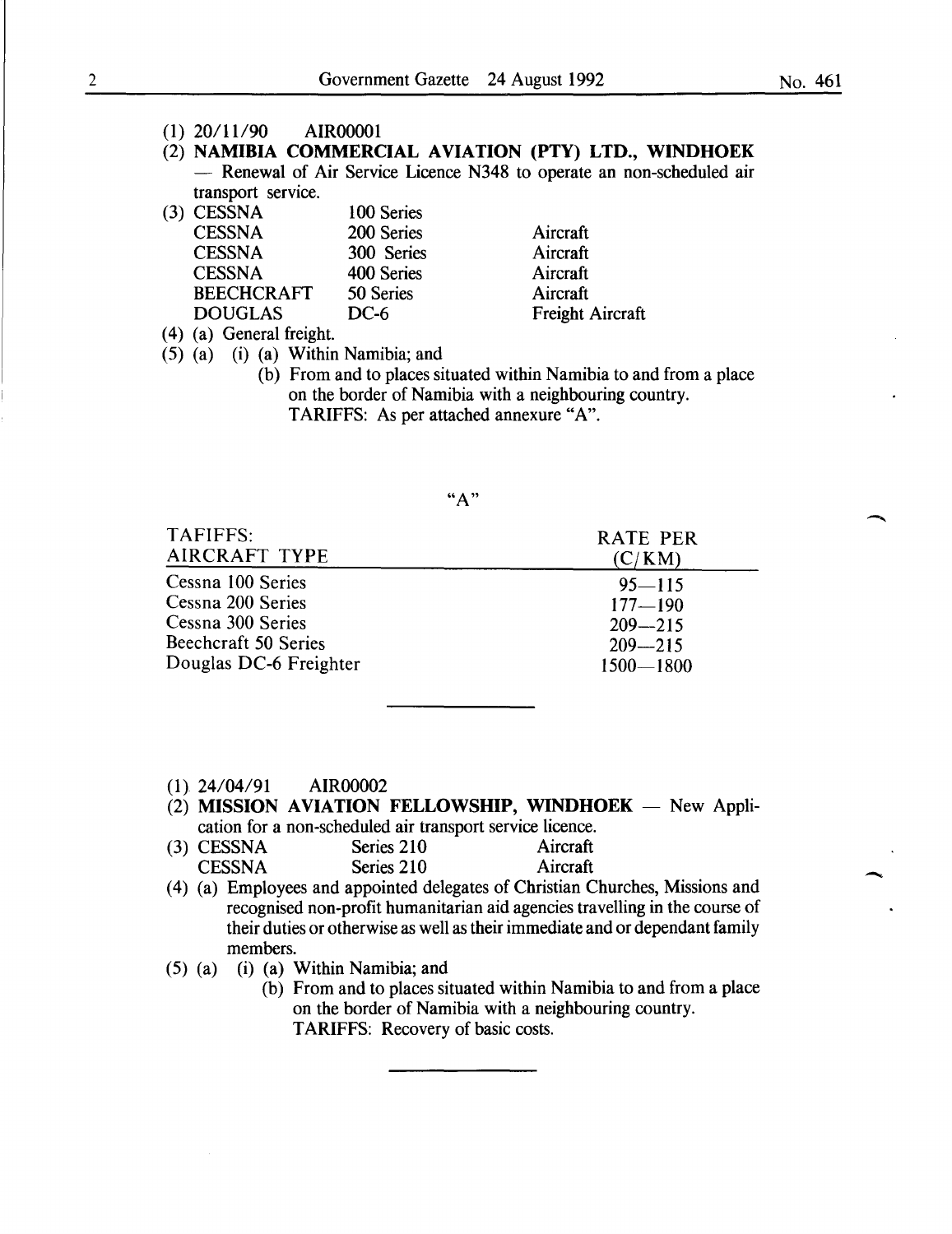-

- **(1)** 20/11/90 AIR00001
- (2) **NAMIBIA COMMERCIAL AVIATION (PTY) LTD., WINDHOEK**  - Renewal of Air Service Licence N348 to operate an non-scheduled air transport service.

| $(3)$ CESSNA      | 100 Series |                  |
|-------------------|------------|------------------|
| <b>CESSNA</b>     | 200 Series | Aircraft         |
| <b>CESSNA</b>     | 300 Series | Aircraft         |
| <b>CESSNA</b>     | 400 Series | Aircraft         |
| <b>BEECHCRAFT</b> | 50 Series  | Aircraft         |
| <b>DOUGLAS</b>    | DC-6       | Freight Aircraft |
|                   |            |                  |

( 4) (a) General freight.

(5) (a) (i) (a) Within Namibia; and

(b) From and to places situated within Namibia to and from a place on the border of Namibia with a neighbouring country.

TARIFFS: As per attached annexure "A".

| TAFIFFS:               | <b>RATE PER</b> |
|------------------------|-----------------|
| AIRCRAFT TYPE          | (C/KM)          |
| Cessna 100 Series      | $95 - 115$      |
| Cessna 200 Series      | $177 - 190$     |
| Cessna 300 Series      | $209 - 215$     |
| Beechcraft 50 Series   | $209 - 215$     |
| Douglas DC-6 Freighter | $1500 - 1800$   |

- **(1}** 24/04/91 AIR00002
- (2) **MISSION AVIATION FELLOWSHIP, WINDHOEK** New Application for a non-scheduled air transport service licence.

| (3) CESSNA    | Series 210 | Aircraft |
|---------------|------------|----------|
| <b>CESSNA</b> | Series 210 | Aircraft |

- (4) (a) Employees and appointed delegates of Christian Churches, Missions and recognised non-profit humanitarian aid agencies travelling in the course of their duties or otherwise as well as their immediate and or dependant family members.
- (5) (a) (i) (a) Within Namibia; and
	- (b) From and to places situated within Namibia to and from a place on the border of Namibia with a neighbouring country. TARIFFS: Recovery of basic costs.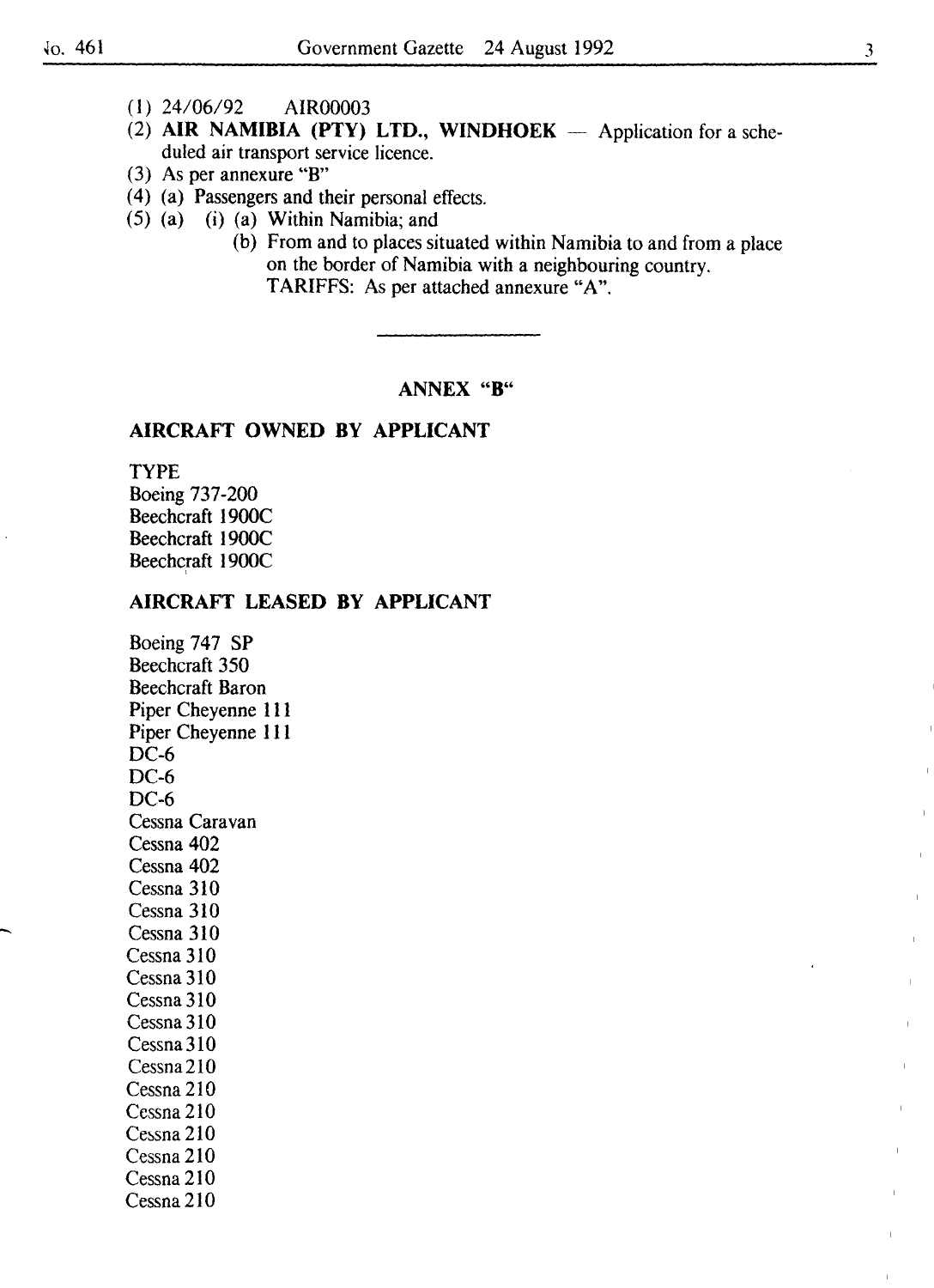- (I) 24/06/92 AIR00003
- (2) AIR NAMIBIA (PTY) LTD., WINDHOEK  $-$  Application for a scheduled air transport service licence.
- (3) As per annexure "B"
- ( 4) (a) Passengers and their personal effects.
- {5) (a) (i) (a) Within Namibia; and
	- (b) From and to places situated within Namibia to and from a place on the border of Namibia with a neighbouring country. TARIFFS: As per attached annexure "A".

## ANNEX "B"

## AIRCRAFT OWNED BY APPLICANT

TYPE Boeing 737-200 Beechcraft 1900C Beechcraft 1900C Beechcraft 1900C '

## AIRCRAFT LEASED BY APPLICANT

Boeing 747 SP Beechcraft 350 Beechcraft Baron Piper Cheyenne 111 Piper Cheyenne Ill DC-6 DC-6 DC-6 Cessna Caravan Cessna 402 Cessna 402 Cessna 310 Cessna 310 Cessna 310 Cessna 310 Cessna 310 Cessna310 Cessna310 Cessna310 Cessna210 Cessna 210 Cessna210  $Cessna 210$ Cessna 210 Cessna 210 Cessna210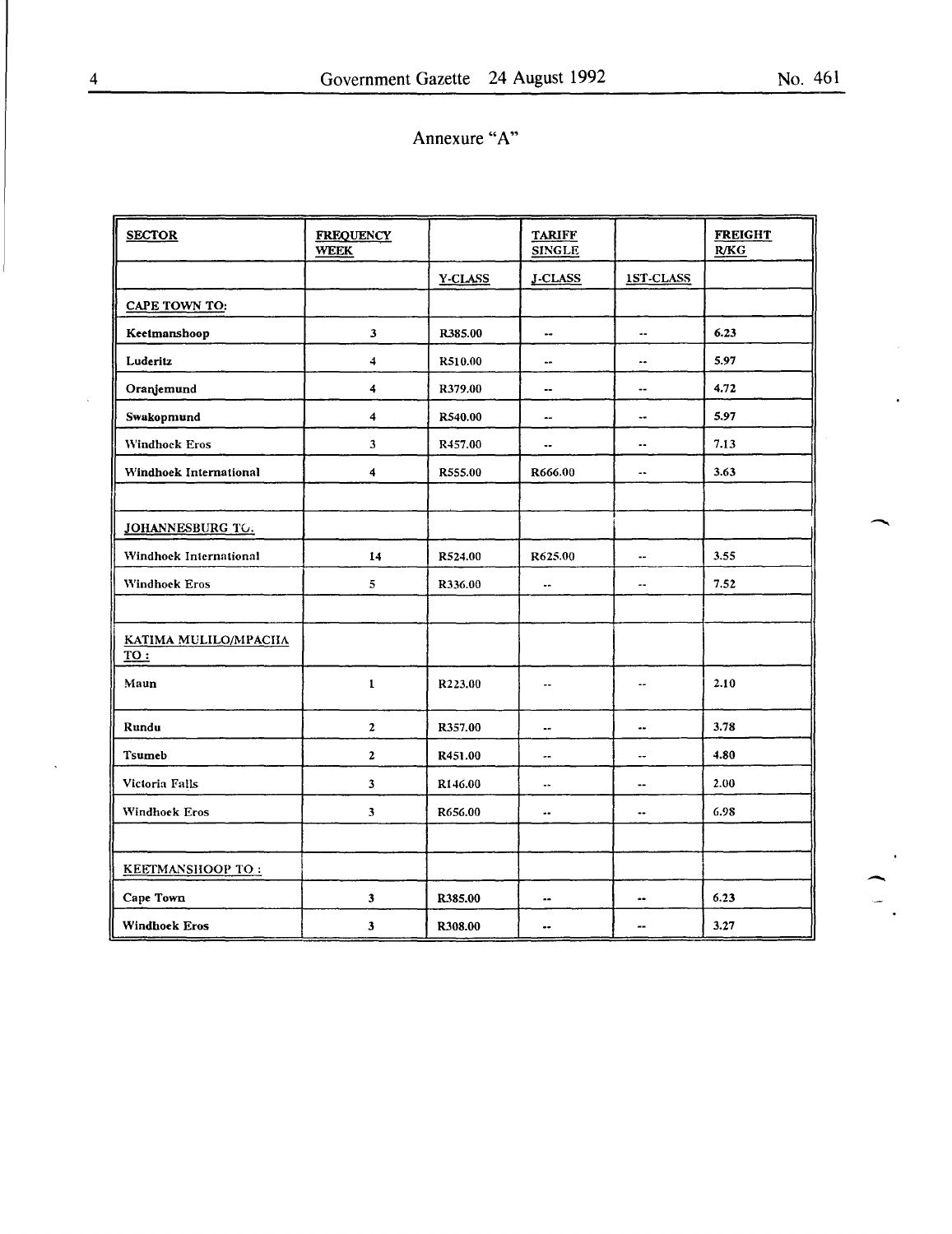| <b>SECTOR</b>                | <b>FREQUENCY</b><br><b>WEEK</b> |         | <b>TARIFF</b><br><b>SINGLE</b> |                          | <b>FREIGHT</b><br>R/KG |  |
|------------------------------|---------------------------------|---------|--------------------------------|--------------------------|------------------------|--|
|                              |                                 | Y-CLASS | <b>J-CLASS</b>                 | 1ST-CLASS                |                        |  |
| <b>CAPE TOWN TO:</b>         |                                 |         |                                |                          |                        |  |
| Keetmanshoop                 | 3                               | R385.00 | ۰.                             | ۰.                       | 6.23                   |  |
| Luderitz                     | 4                               | R510.00 | $\bullet\bullet$               | ÷.                       | 5.97                   |  |
| Oranjemund                   | 4                               | R379.00 | $\overline{\phantom{a}}$       | $\overline{\phantom{a}}$ | 4.72                   |  |
| Swakopmund                   | 4                               | R540.00 | $\overline{\phantom{a}}$       | ⊷                        | 5.97                   |  |
| Windhock Eros                | $\mathbf{3}$                    | R457.00 | $\overline{\phantom{a}}$       | $\overline{\phantom{a}}$ | 7.13                   |  |
| Windhoek International       | $\blacktriangleleft$            | R555.00 | R666.00                        | -∙                       | 3.63                   |  |
|                              |                                 |         |                                |                          |                        |  |
| JOHANNESBURG TO.             |                                 |         |                                |                          |                        |  |
| Windhock International       | 14                              | R524.00 | R625.00                        |                          | 3.55                   |  |
| Windhoek Eros                | 5                               | R336.00 |                                | ٠.                       | 7.52                   |  |
|                              |                                 |         |                                |                          |                        |  |
| KATIMA MULILO/MPACIIA<br>TO: |                                 |         |                                |                          |                        |  |
| Maun                         | $\mathbf{1}$                    | R223.00 | ۰.                             | --                       | 2.10                   |  |
| Rundu                        | $\mathbf{2}$                    | R357.00 | $\overline{\phantom{a}}$       | $\bullet\bullet$         | 3.78                   |  |
| Tsumeb                       | $\mathbf{2}$                    | R451.00 | ⊶                              | Ξ.                       | 4.80                   |  |
| Victoria Falls               | $\overline{\mathbf{3}}$         | R146.00 | $\overline{\phantom{a}}$       | $\overline{\phantom{a}}$ | 2.00                   |  |
| Windhoek Eros                | $\mathbf{3}$                    | R656.00 |                                | $\overline{\phantom{a}}$ | 6.98                   |  |
|                              |                                 |         |                                |                          |                        |  |
| KEETMANSHOOP TO:             |                                 |         |                                |                          |                        |  |
| Cape Town                    | $\overline{\mathbf{3}}$         | R385.00 |                                | ۰.                       | 6.23                   |  |
| <b>Windhoek Eros</b>         | 3                               | R308.00 |                                | --                       | 3.27                   |  |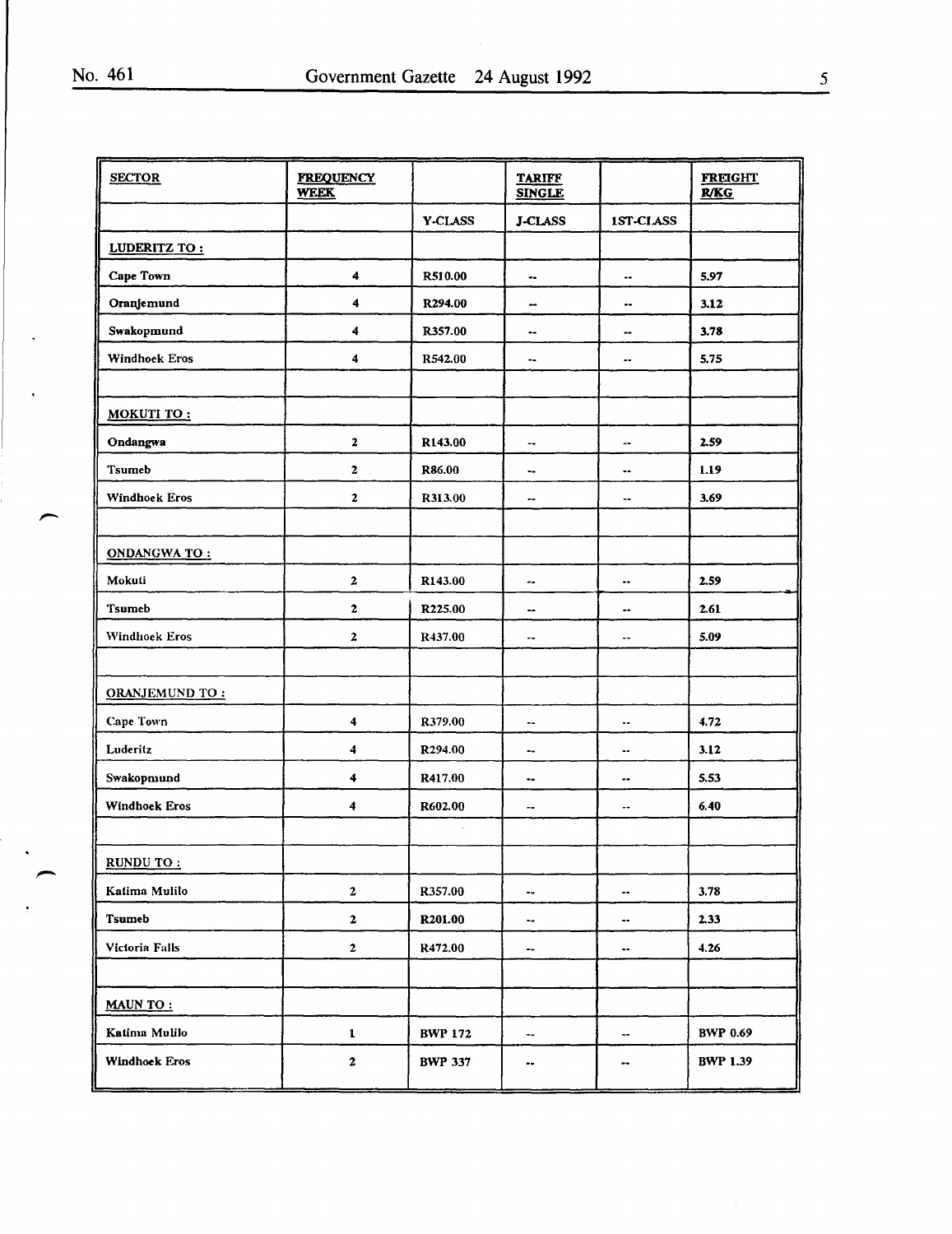,

e.

 $\ddot{\phantom{1}}$ 

| <b>SECTOR</b>        | <b>FREQUENCY</b><br><b>WEEK</b> |                     | <b>TARIFF</b><br><b>SINGLE</b> |                          | <b>FREIGHT</b><br>R/KG |
|----------------------|---------------------------------|---------------------|--------------------------------|--------------------------|------------------------|
|                      |                                 | Y-CLASS             | <b>J-CLASS</b>                 | 1ST-CLASS                |                        |
| LUDERITZ TO:         |                                 |                     |                                |                          |                        |
| Cape Town            | $\boldsymbol{4}$                | R510.00             | ۰.                             | $\overline{\phantom{a}}$ | 5.97                   |
| Oranjemund           | 4                               | R294.00             | $\overline{\phantom{a}}$       |                          | 3.12                   |
| Swakopmund           | 4                               | R357.00             | ۰.                             |                          | 3.78                   |
| Windhoek Eros        | 4                               | R542.00             | ۰.                             | --                       | 5.75                   |
| MOKUTI TO:           |                                 |                     |                                |                          |                        |
| Ondangwa             | $\boldsymbol{2}$                | R143.00             | ۰.                             | $\qquad \qquad \cdots$   | 2.59                   |
| <b>Tsumeb</b>        | $\boldsymbol{2}$                | R86.00              | ۰.                             | $\ddot{\phantom{1}}$     | 1.19                   |
| <b>Windhoek Eros</b> | $\mathbf{2}$                    | R313.00             | --                             | ⊷                        | 3.69                   |
| <b>ONDANGWATO:</b>   |                                 |                     |                                |                          |                        |
| Mokuti               | $\bf{2}$                        | R143.00             | ۰.                             |                          | 2.59                   |
| <b>Tsumeb</b>        | $\bf{2}$                        | R225.00             | --                             | ۰.                       | 2.61                   |
| Windhoek Eros        | $\boldsymbol{2}$                | R437.00             | ۰.                             |                          | 5.09                   |
| ORANJEMUND TO:       |                                 |                     |                                |                          |                        |
| <b>Cape Town</b>     | $\overline{\mathbf{4}}$         | R379.00             | ۰.                             | ٠.                       | 4.72                   |
| Luderitz             | $\overline{\mathbf{4}}$         | R294.00             | --                             | ۰.                       | 3.12                   |
| Swakopmund           | $\blacktriangleleft$            | R417.00             | ٠.                             |                          | 5.53                   |
| Windhoek Eros        | 4                               | R602.00             | ۰.                             |                          | 6.40                   |
| RUNDU TO:            |                                 |                     |                                |                          |                        |
| Katima Mulilo        | $\mathbf{2}$                    | R357.00             | ۰.                             | $\overline{\phantom{a}}$ | 3.78                   |
| Tsumeb               | $\mathbf{2}$                    | R <sub>201.00</sub> | ۰.                             | $\bullet\bullet$         | 2.33                   |
| Victoria Falls       | $\mathbf{2}$                    | R472.00             | ۰.                             | $\bullet\bullet$         | 4.26                   |
| <b>MAUN TO:</b>      |                                 |                     |                                |                          |                        |
| Katima Mulilo        | $\mathbf{1}$                    | <b>BWP 172</b>      | ۰.                             | ۰.                       | <b>BWP 0.69</b>        |
| <b>Windhoek Eros</b> | $\mathbf{2}$                    | <b>BWP 337</b>      | ۰.                             |                          | <b>BWP 1.39</b>        |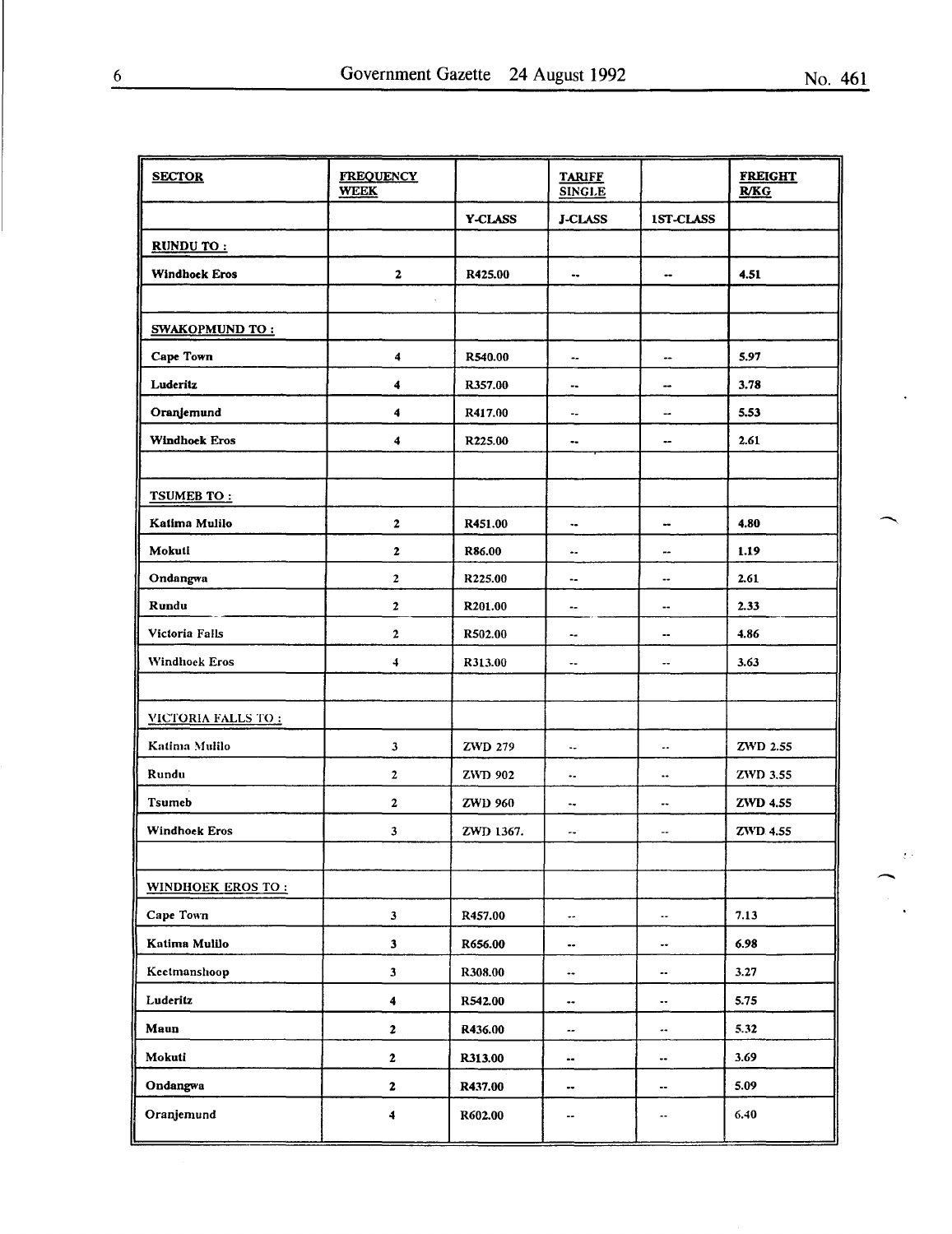| <b>SECTOR</b>            | <b>FREQUENCY</b><br><b>WEEK</b> |                | <b>TARIFF</b><br><b>SINGLE</b> |                          | <b>FREIGHT</b><br>R/KG |
|--------------------------|---------------------------------|----------------|--------------------------------|--------------------------|------------------------|
|                          |                                 | <b>Y-CLASS</b> | <b>J-CLASS</b>                 | 1ST-CLASS                |                        |
| RUNDU TO:                |                                 |                |                                |                          |                        |
| <b>Windhock Eros</b>     | $\mathbf{z}$                    | R425.00        | ۰.                             | ۰.                       | 4.51                   |
|                          |                                 |                |                                |                          |                        |
| <b>SWAKOPMUND TO:</b>    |                                 |                |                                |                          |                        |
| Cape Town                | 4                               | R540.00        | --                             | --                       | 5.97                   |
| Luderitz                 | 4                               | R357.00        | --                             | --                       | 3.78                   |
| Oranjemund               | 4                               | R417.00        | ٠.                             | $\bullet$                | 5.53                   |
| <b>Windhoek Eros</b>     | 4                               | R225.00        |                                | $\bullet$                | 2.61                   |
|                          |                                 |                |                                |                          |                        |
| TSUMEB TO:               |                                 |                |                                |                          |                        |
| Katima Mulilo            | $\mathbf{2}$                    | R451.00        | ٠.                             |                          | 4.80                   |
| Mokuti                   | 2                               | R86.00         |                                | $- -$                    | 1.19                   |
| Ondangwa                 | $\mathbf{2}$                    | R225.00        | ۰.                             |                          | 2.61                   |
| Rundu                    | $\mathbf{z}$                    | R201.00        | ۰.                             | --                       | 2.33                   |
| Victoria Falls           | $\mathbf{2}$                    | R502.00        | ۰.                             | ۰.                       | 4.86                   |
| <b>Windhoek Eros</b>     | 4                               | R313.00        | ۰.                             | --                       | 3.63                   |
|                          |                                 |                |                                |                          |                        |
| VICTORIA FALLS TO:       |                                 |                |                                |                          |                        |
| Katima Mulilo            | 3                               | <b>ZWD 279</b> | ٠.                             |                          | ZWD 2.55               |
| Rundu                    | 2                               | <b>ZWD 902</b> | ۰.                             | $\overline{\phantom{a}}$ | ZWD 3.55               |
| <b>Tsumeb</b>            | 2                               | <b>ZWD 960</b> | ۰.                             | --                       | ZWD 4.55               |
| <b>Windhoek Eros</b>     | 3                               | ZWD 1367.      | --                             | --                       | <b>ZWD</b> 4.55        |
|                          |                                 |                |                                |                          |                        |
| <b>WINDHOEK EROS TO:</b> |                                 |                |                                |                          |                        |
| Cape Town                | $\mathbf{3}$                    | R457.00        | $\bullet\bullet$               | ۰.                       | 7.13                   |
| Katima Mulilo            | $\mathbf{3}$                    | R656.00        | ۰.                             |                          | 6.98                   |
| Keetmanshoop             | 3                               | R308.00        | $\overline{\phantom{m}}$       |                          | 3.27                   |
| Luderitz                 | 4                               | R542.00        |                                | $\bullet\,\bullet$       | 5.75                   |
| Maun                     | 2                               | R436.00        | --                             | --                       | 5.32                   |
| Mokuti                   | 2                               | R313.00        |                                | ۰.                       | 3.69                   |
| Ondangwa                 | $\mathbf 2$                     | R437.00        |                                | --                       | 5.09                   |
| Oranjemund               | 4                               | R602.00        | --                             | ۰.                       | 6.40                   |

 $\sum_{i=1}^{n}$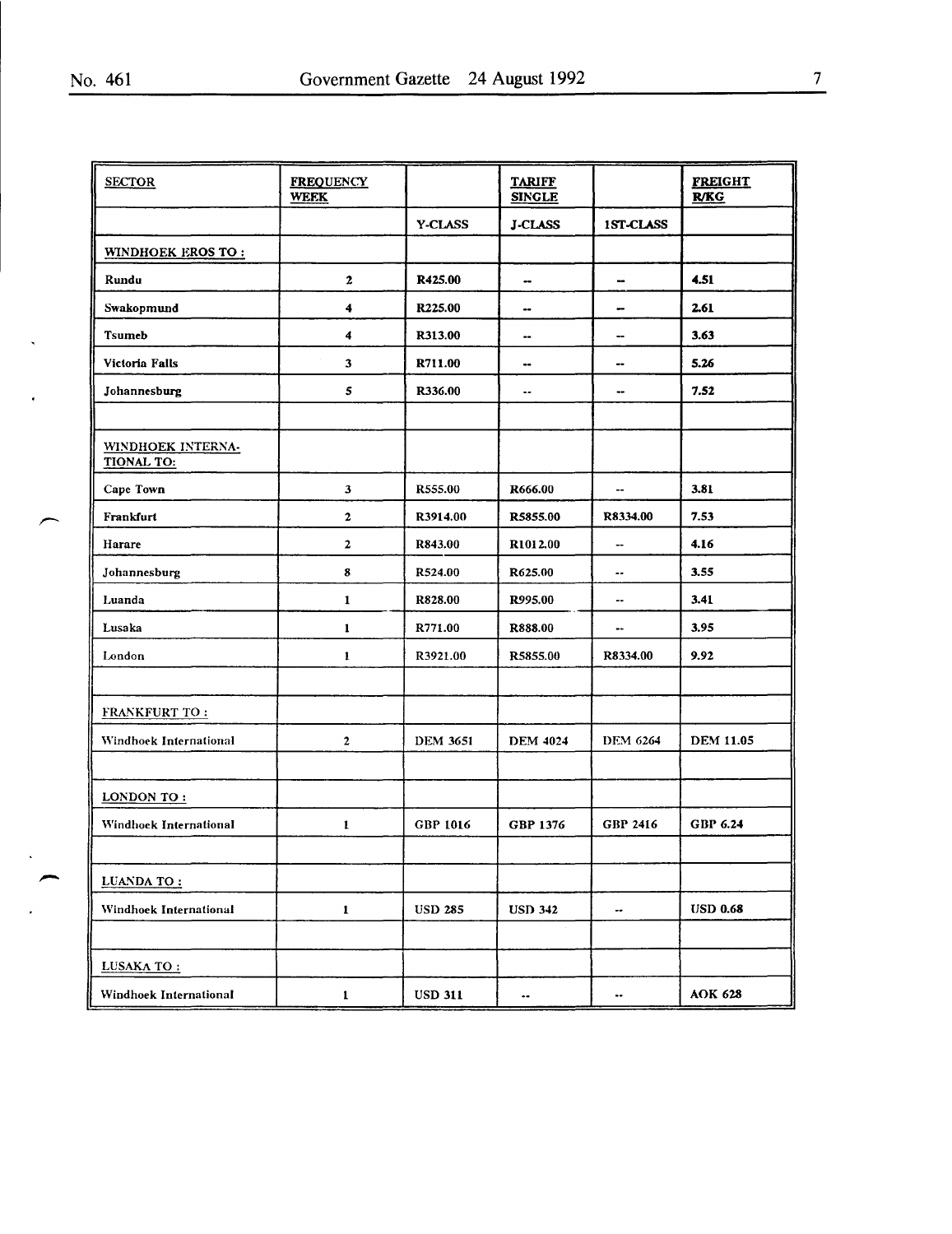$\ddot{\phantom{1}}$ 

 $\ddot{\phantom{a}}$ 

م

 $\ddot{\phantom{0}}$ 

 $\ddot{\phantom{a}}$ 

| <b>SECTOR</b>                          | <b>FREQUENCY</b><br><b>WEEK</b> |                 | <b>TARIFF</b><br><b>SINGLE</b> |                          | <b>FREIGHT</b><br>R/KG |
|----------------------------------------|---------------------------------|-----------------|--------------------------------|--------------------------|------------------------|
|                                        |                                 | Y-CLASS         | <b>J-CLASS</b>                 | 1ST-CLASS                |                        |
| <b>WINDHOEK EROS TO:</b>               |                                 |                 |                                |                          |                        |
| Rundu                                  | $\mathbf{2}$                    | R425.00         | $\bullet\bullet$               | --                       | 4.51                   |
| Swakopmund                             | 4                               | R225.00         | --                             | -                        | 2.61                   |
| <b>Tsumeb</b>                          | 4                               | R313.00         |                                | --                       | 3.63                   |
| Victoria Falls                         | 3                               | R711.00         | --                             | --                       | 5.26                   |
| Johannesburg                           | 5                               | R336.00         | ٠.                             |                          | 7.52                   |
| WINDHOEK INTERNA-<br><b>TIONAL TO:</b> |                                 |                 |                                |                          |                        |
| Cape Town                              | 3                               | R555.00         | R666.00                        | $\overline{\phantom{a}}$ | 3.81                   |
| Frankfurt                              | $\mathbf{z}$                    | R3914.00        | R5855.00                       | R8334.00                 | 7.53                   |
| Harare                                 | 2                               | R843.00         | R1012.00                       | ш.                       | 4.16                   |
| Johannesburg                           | 8                               | R524.00         | R625.00                        | ۰.                       | 3.55                   |
| Luanda                                 | $\mathbf{1}$                    | R828.00         | R995.00                        | ۰.                       | 3.41                   |
| Lusaka                                 | $\mathbf{1}$                    | R771.00         | R888.00                        |                          | 3.95                   |
| London                                 | $\mathbf{I}$                    | R3921.00        | R5855.00                       | R8334.00                 | 9.92                   |
| <b>FRANKFURT TO:</b>                   |                                 |                 |                                |                          |                        |
| Windhoek International                 | $\mathbf{2}$                    | <b>DEM 3651</b> | <b>DEM 4024</b>                | <b>DEM 6264</b>          | <b>DEM 11.05</b>       |
| LONDON TO:                             |                                 |                 |                                |                          |                        |
| Windhock International                 | $\mathbf{1}$                    | GBP 1016        | GBP 1376                       | GBP 2416                 | GBP 6.24               |
| LUANDA TO:                             |                                 |                 |                                |                          |                        |
| Windhoek International                 | $\mathbf{I}$                    | <b>USD 285</b>  | <b>USD 342</b>                 | ⊷                        | <b>USD 0.68</b>        |
| LUSAKA TO:                             |                                 |                 |                                |                          |                        |
| Windhoek International                 | $\mathbf 1$                     | <b>USD 311</b>  | $\ddot{\phantom{0}}$           |                          | <b>AOK 628</b>         |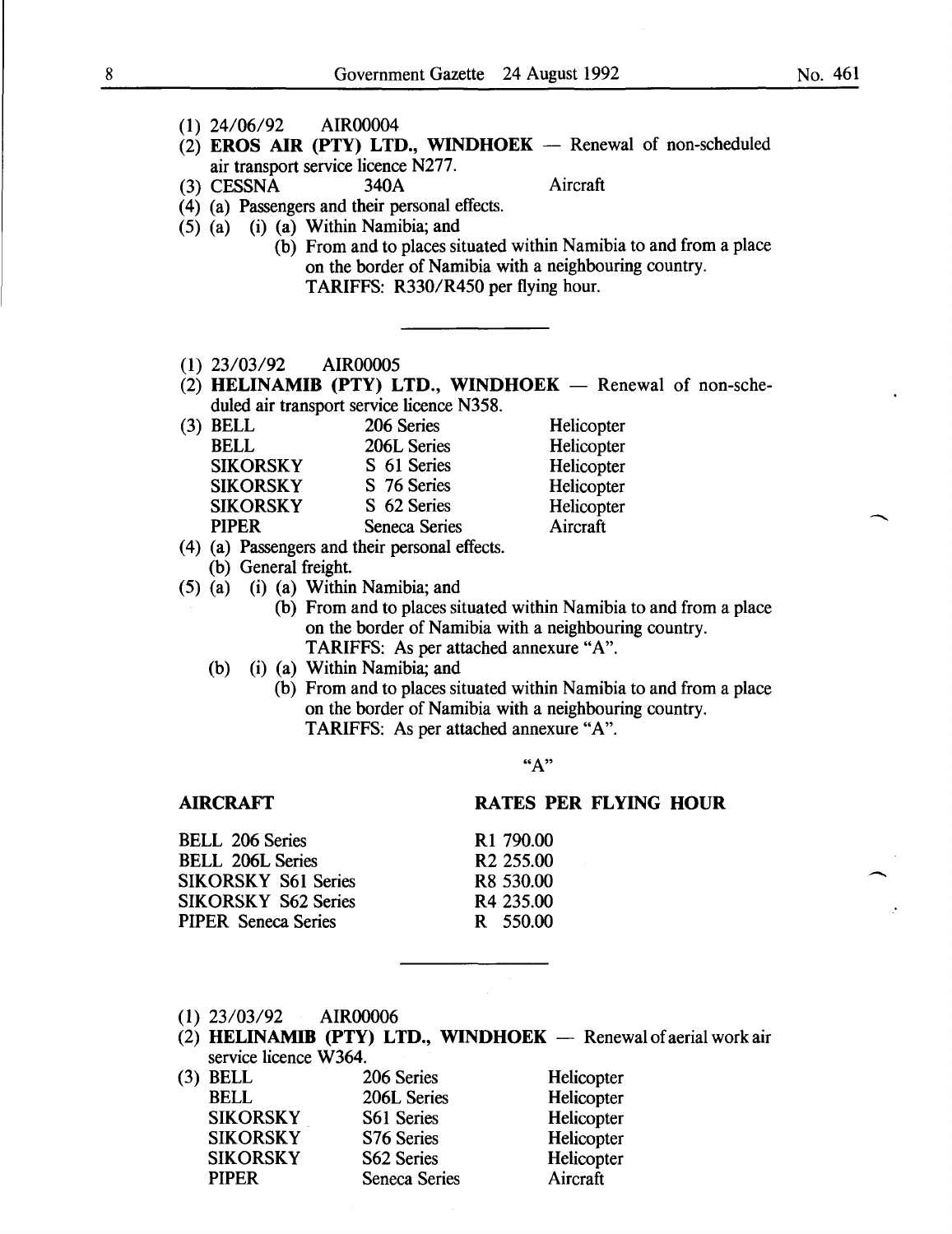- (1) 24/06/92 AIR00004
- (2) EROS AIR (PTY) LTD., WINDHOEK  $-$  Renewal of non-scheduled air transport service licence N277.<br>CESSNA 340A
- (3) CESSNA 340A Aircraft

- ( 4) (a) Passengers and their personal effects.
- (5) (a) (i) (a) Within Namibia; and
	- (b) From and to places situated within Namibia to and from a place on the border of Namibia with a neighbouring country. TARIFFS: R330/R450 per flying hour.
- ( 1) 23/03/92 AIR00005
- (2) HELINAMIB (PTY) LTD., WINDHOEK  $-$  Renewal of non-scheduled air transport service licence N358.

| $(3)$ BELL      | 206 Series    | Helicopter |
|-----------------|---------------|------------|
| <b>BELL</b>     | 206L Series   | Helicopter |
| <b>SIKORSKY</b> | S 61 Series   | Helicopter |
| <b>SIKORSKY</b> | S 76 Series   | Helicopter |
| <b>SIKORSKY</b> | S 62 Series   | Helicopter |
| <b>PIPER</b>    | Seneca Series | Aircraft   |
|                 |               |            |

- (4) (a) Passengers and their personal effects.
	- (b) General freight.
- (5) (a) (i) (a) Within Namibia; and
	- (b) From and to places situated within Namibia to and from a place on the border of Namibia with a neighbouring country. TARIFFS: As per attached annexure "A".
	- (b) (i) (a) Within Namibia; and
		- (b) From and to places situated within Namibia to and from a place on the border of Namibia with a neighbouring country. TARIFFS: As per attached annexure "A".

#### AIRCRAFT

#### RATES PER FLYING HOUR

| <b>BELL 206 Series</b>     | R <sub>1</sub> 790.00 |
|----------------------------|-----------------------|
| <b>BELL 206L Series</b>    | R <sub>2</sub> 255.00 |
| <b>SIKORSKY S61 Series</b> | R <sub>8</sub> 530.00 |
| <b>SIKORSKY S62 Series</b> | R4 235.00             |
| <b>PIPER</b> Seneca Series | R 550.00              |
|                            |                       |

- (1) 23/03/92 AIR00006
- (2) HELINAMIB (PTY) LTD., WINDHOEK  $-$  Renewal of aerial work air service licence W364.

| $(3)$ BELL      | 206 Series           | Helicopter |
|-----------------|----------------------|------------|
| <b>BELL</b>     | 206L Series          | Helicopter |
| <b>SIKORSKY</b> | S61 Series           | Helicopter |
| <b>SIKORSKY</b> | S76 Series           | Helicopter |
| <b>SIKORSKY</b> | S62 Series           | Helicopter |
| <b>PIPER</b>    | <b>Seneca Series</b> | Aircraft   |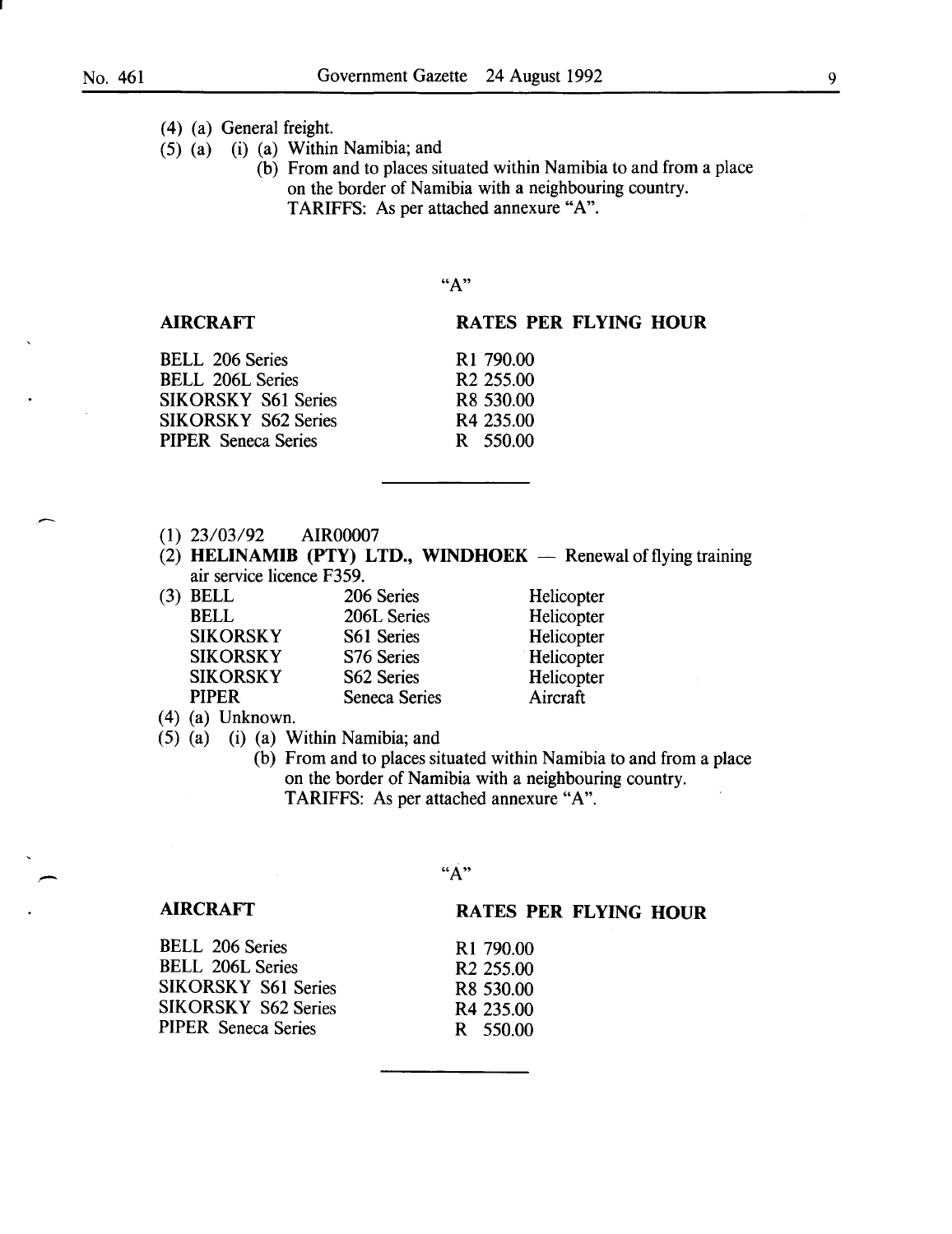## *(* 4) (a) General freight.

- (5) (a) (i) (a) Within Namibia; and
	- (b) From and to places situated within Namibia to and from a place on the border of Namibia with a neighbouring country. TARIFFS: As per attached annexure "A".

"A"

## AIRCRAFT

RATES PER FLYING HOUR

**Helicopter** Helicopter **Helicopter** Helicopter **Helicopter** Aircraft

| <b>BELL 206 Series</b>     | R <sub>1</sub> 790.00 |
|----------------------------|-----------------------|
| <b>BELL 206L Series</b>    | R <sub>2</sub> 255.00 |
| <b>SIKORSKY S61 Series</b> | R8 530.00             |
| <b>SIKORSKY S62 Series</b> | R <sub>4</sub> 235.00 |
| <b>PIPER</b> Seneca Series | R 550.00              |
|                            |                       |

- (1) 23/03/92 AIR00007
- (2) HELINAMIB (PTY) LTD., WINDHOEK  $-$  Renewal of flying training air service licence F359.

| $(3)$ BELL      | 206 Series           |
|-----------------|----------------------|
| <b>BELL</b>     | 206L Series          |
| <b>SIKORSKY</b> | S61 Series           |
| <b>SIKORSKY</b> | S76 Series           |
| <b>SIKORSKY</b> | S62 Series           |
| <b>PIPER</b>    | <b>Seneca Series</b> |
|                 |                      |

(4) (a) Unknown.

- (5) (a) (i) (a) Within Namibia; and
	- (b) From and to places situated within Namibia to and from a place on the border of Namibia with a neighbouring country. TARIFFS: As per attached annexure "A".

R1 790.00 R2 255.00 R8 530.00 R4 235.00 R 550.00

"A"

#### AIRCRAFT

#### RATES PER FLYING HOUR

| <b>BELL 206 Series</b>     |  |
|----------------------------|--|
| <b>BELL 206L Series</b>    |  |
| <b>SIKORSKY S61 Series</b> |  |
| <b>SIKORSKY S62 Series</b> |  |
| PIPER Seneca Series        |  |

9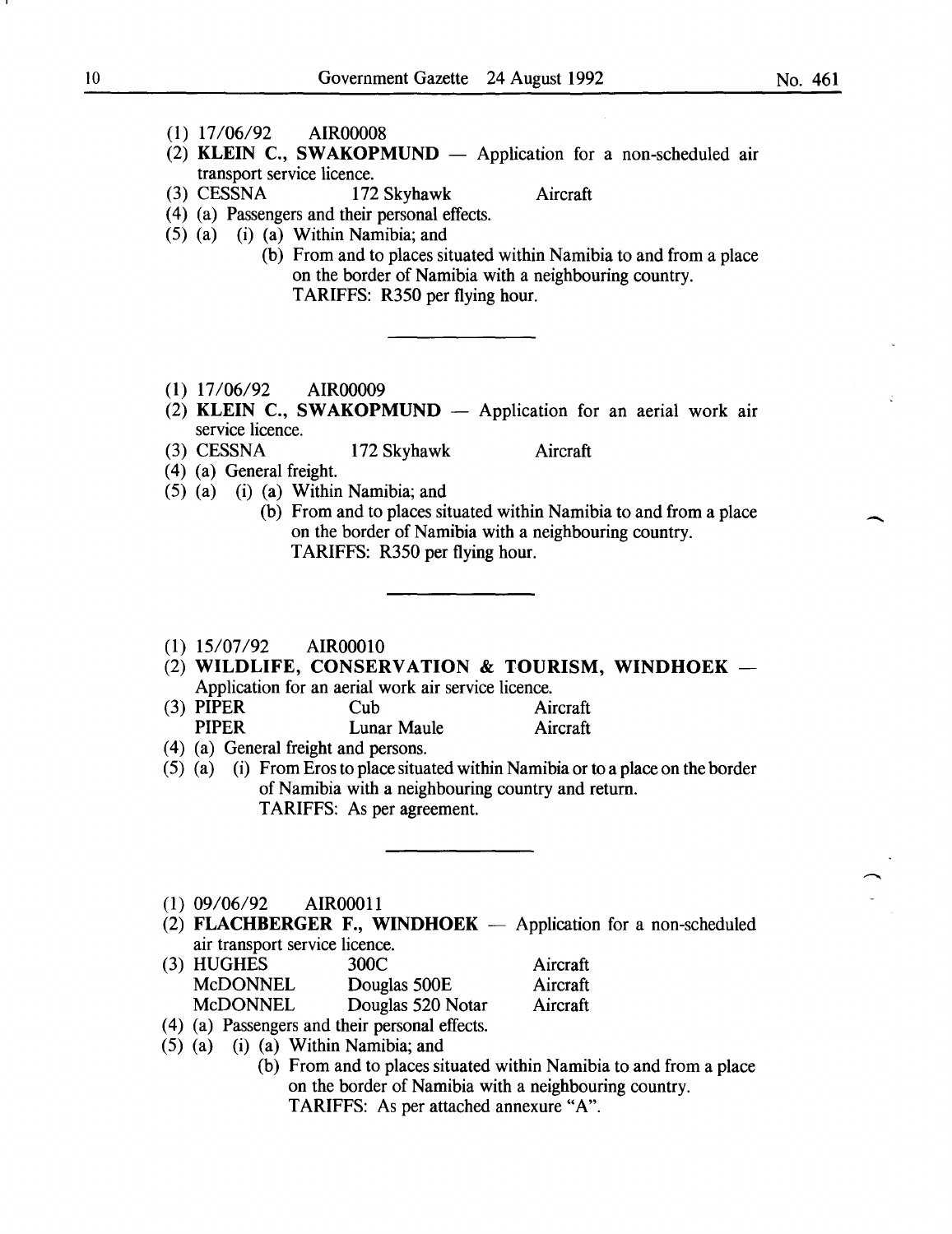No. 461

-

- (1) 17/06/92 AIR00008
- (2) KLEIN C., SWAKOPMUND  $-$  Application for a non-scheduled air transport service licence.<br>
(3) CESSNA 172
- 

172 Skyhawk Aircraft

- ( 4) (a) Passengers and their personal effects.
- (5) (a) (i) (a) Within Namibia; and
	- (b) From and to places situated within Namibia to and from a place on the border of Namibia with a neighbouring country. TARIFFS: R350 per flying hour.
- (1) 17/06/92 AIR00009
- (2) KLEIN C., SWAKOPMUND  $-$  Application for an aerial work air service licence.
- 

(3) CESSNA 172 Skyhawk Aircraft

- ( 4) (a) General freight.
- (5) (a) (i) (a) Within Namibia; and
	- (b) From and to places situated within Namibia to and from a place on the border of Namibia with a neighbouring country. TARIFFS: R350 per flying hour.
- (1) 15/07/92 AIROOOlO
- (2) WILDLIFE, CONSERVATION & TOURISM, WINDHOEK  $-$ Application for an aerial work air service licence.
- (3) PIPER Cub Aircraft PIPER Lunar Maule Aircraft
- ( 4) (a) General freight and persons.
- (5) (a) (i) From Eros to place situated within Namibia or to a place on the border of Namibia with a neighbouring country and return. TARIFFS: As per agreement.
- (1) 09/06/92 AIROOOll
- (2) FLACHBERGER F., WINDHOEK  $-$  Application for a non-scheduled air transport service licence.
- (3) HUGHES 300C McDONNEL Douglas 500E McDONNEL Douglas 520 Notar Aircraft Aircraft Aircraft
- ( 4) (a) Passengers and their personal effects.
- (5) (a) (i) (a) Within Namibia; and
	- (b) From and to places situated within Namibia to and from a place on the border of Namibia with a neighbouring country.

TARIFFS: As per attached annexure "A".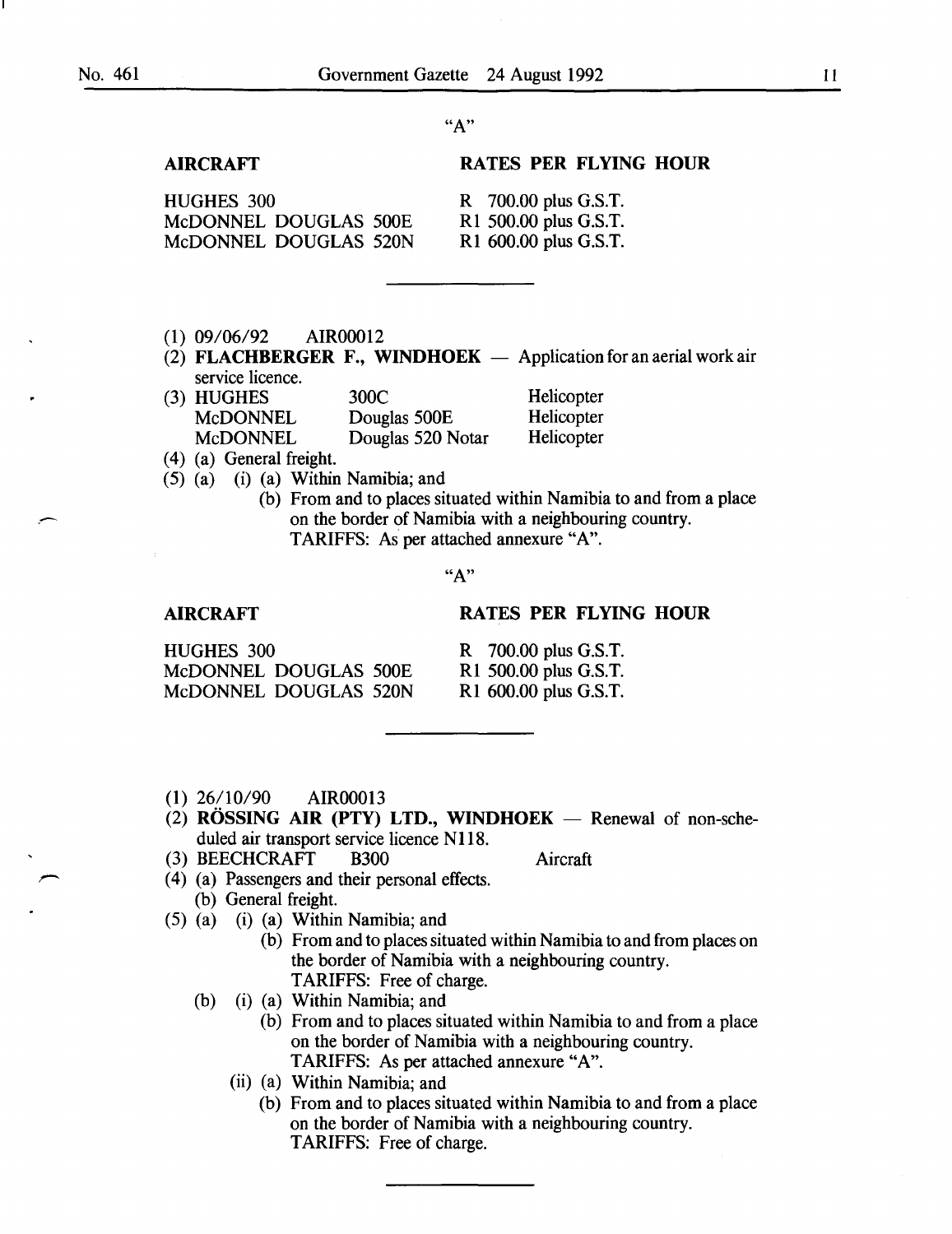## AIRCRAFT

## RATES PER FLYING HOUR

HUGHES 300 McDONNEL DOUGLAS 500E McDONNEL DOUGLAS 520N

R 700.00 plus G.S.T. R1 500.00 plus G.S.T. R1 600.00 plus G.S.T.

- (1) 09/06/92 AIR00012
- (2) FLACHBERGER F., WINDHOEK  $-$  Application for an aerial work air service licence.

| (3) HUGHES      | 300C              | Helicopter |
|-----------------|-------------------|------------|
| <b>MCDONNEL</b> | Douglas 500E      | Helicopter |
| <b>McDONNEL</b> | Douglas 520 Notar | Helicopter |

- ( 4) (a) General freight.
- (5) (a) (i) (a) Within Namibia; and
	- (b) From and to places situated within Namibia to and from a place on the border of Namibia with a neighbouring country. TARIFFS: As per attached annexure "A".

"A"

#### AIRCRAFT

#### RATES PER FLYING HOUR

| <b>HUGHES 300</b>     |  |
|-----------------------|--|
| McDONNEL DOUGLAS 500E |  |
| McDONNEL DOUGLAS 520N |  |

R 700.00 plus G.S.T. R1 500.00 plus G.S.T. R1 600.00 plus G.S.T.

- (1) 26/10/90 AIR00013
- (2) ROSSING AIR (PTY) LTD., WINDHOEK  $-$  Renewal of non-scheduled air transport service licence N118.
- (3) BEECHCRAFT B300 Aircraft

- ( 4) (a) Passengers and their personal effects. (b) General freight.
- (5) (a) (i) (a) Within Namibia; and
	- (b) From and to places situated within Namibia to and from places on the border of Namibia with a neighbouring country. TARIFFS: Free of charge.
	- (b) (i) (a) Within Namibia; and
		- (b) From and to places situated within Namibia to and from a place on the border of Namibia with a neighbouring country. TARIFFS: As per attached annexure "A".
		- (ii) (a) Within Namibia; and
			- (b) From and to places situated within Namibia to and from a place on the border of Namibia with a neighbouring country. TARIFFS: Free of charge.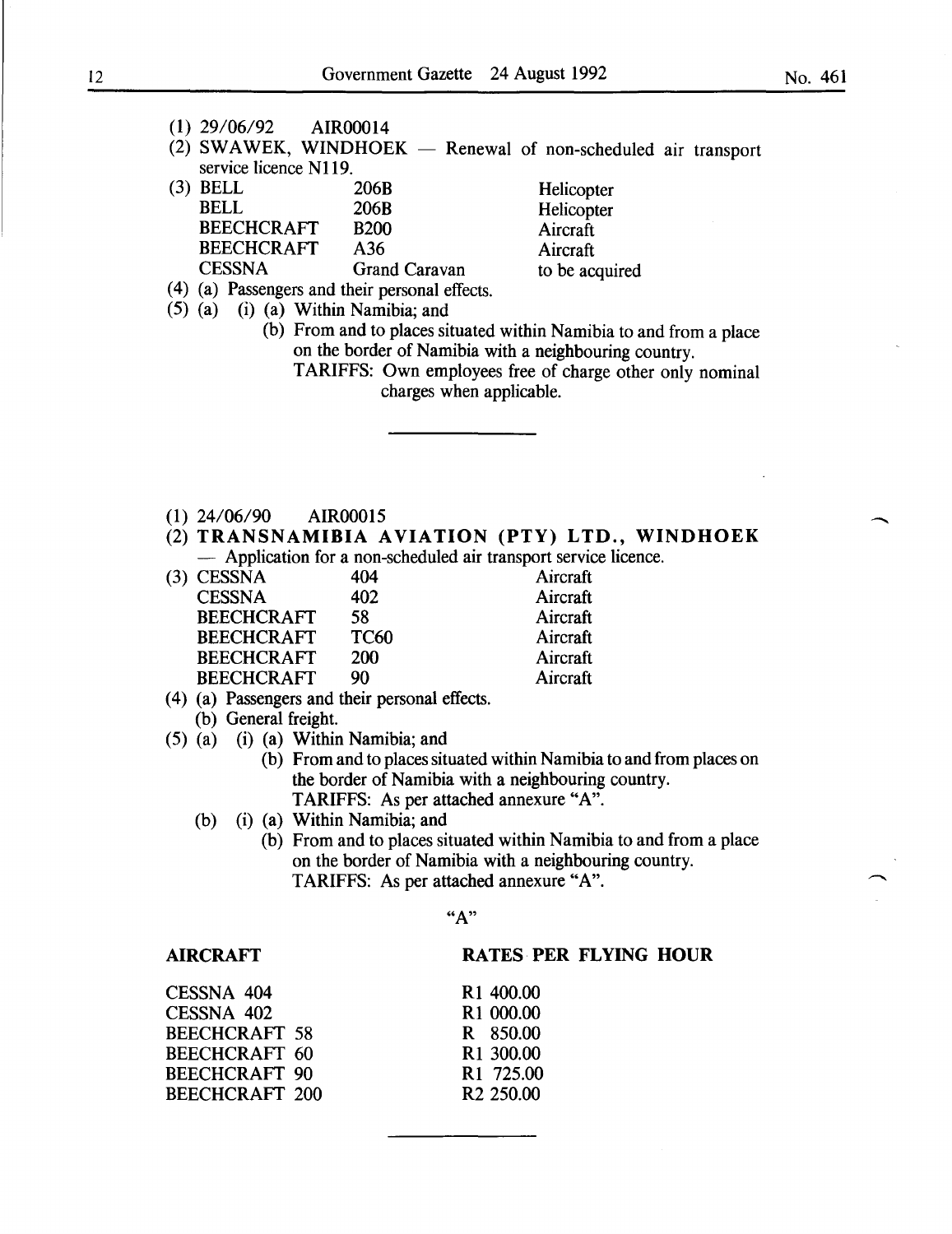- (1) 29/06/92 AIR00014
- $(2)$  SWAWEK, WINDHOEK Renewal of non-scheduled air transport service licence N119.

| 206B                 | Helicopter     |
|----------------------|----------------|
| 206 <sub>B</sub>     | Helicopter     |
| <b>B200</b>          | Aircraft       |
| A36                  | Aircraft       |
| <b>Grand Caravan</b> | to be acquired |
|                      |                |

- ( 4) (a) Passengers and their personal effects.
- (5) (a) (i) (a) Within Namibia; and
	- (b) From and to places situated within Namibia to and from a place on the border of Namibia with a neighbouring country.
		- TARIFFS: Own employees free of charge other only nominal charges when applicable.
- (1) 24/06/90 AIR00015
- (2) TRANSNAMIBIA AVIATION (PTY) LTD., WINDHOEK - Application for a non-scheduled air transport service licence.

|            |     | reprience for a fion sencement an nansport service ne |             |  |
|------------|-----|-------------------------------------------------------|-------------|--|
| 2) CECCNIA | 10A |                                                       | $A$ ivereft |  |

| (3) CESSNA        | 404         | Aircraft |
|-------------------|-------------|----------|
| <b>CESSNA</b>     | 402         | Aircraft |
| <b>BEECHCRAFT</b> | 58.         | Aircraft |
| <b>BEECHCRAFT</b> | <b>TC60</b> | Aircraft |
| <b>BEECHCRAFT</b> | <b>200</b>  | Aircraft |
| <b>BEECHCRAFT</b> | 90          | Aircraft |
|                   |             |          |

- ( 4) (a) Passengers and their personal effects. (b) General freight.
- (5) (a) (i) (a) Within Namibia; and
	- (b) From and to places situated within Namibia to and from places on the border of Namibia with a neighbouring country. TARIFFS: As per attached annexure "A".
	- (b) (i) (a) Within Namibia; and
		- (b) From and to places situated within Namibia to and from a place on the border of Namibia with a neighbouring country. TARIFFS: As per attached annexure "A".

## AIRCRAFT

#### RATES PER FLYING HOUR

|                       | R <sub>1</sub> 400.00 |
|-----------------------|-----------------------|
|                       | R <sub>1</sub> 000.00 |
| <b>BEECHCRAFT 58</b>  | R 850.00              |
| BEECHCRAFT 60         | R1 300.00             |
| <b>BEECHCRAFT 90</b>  | R <sub>1</sub> 725.00 |
| <b>BEECHCRAFT 200</b> | R <sub>2</sub> 250.00 |
|                       |                       |

-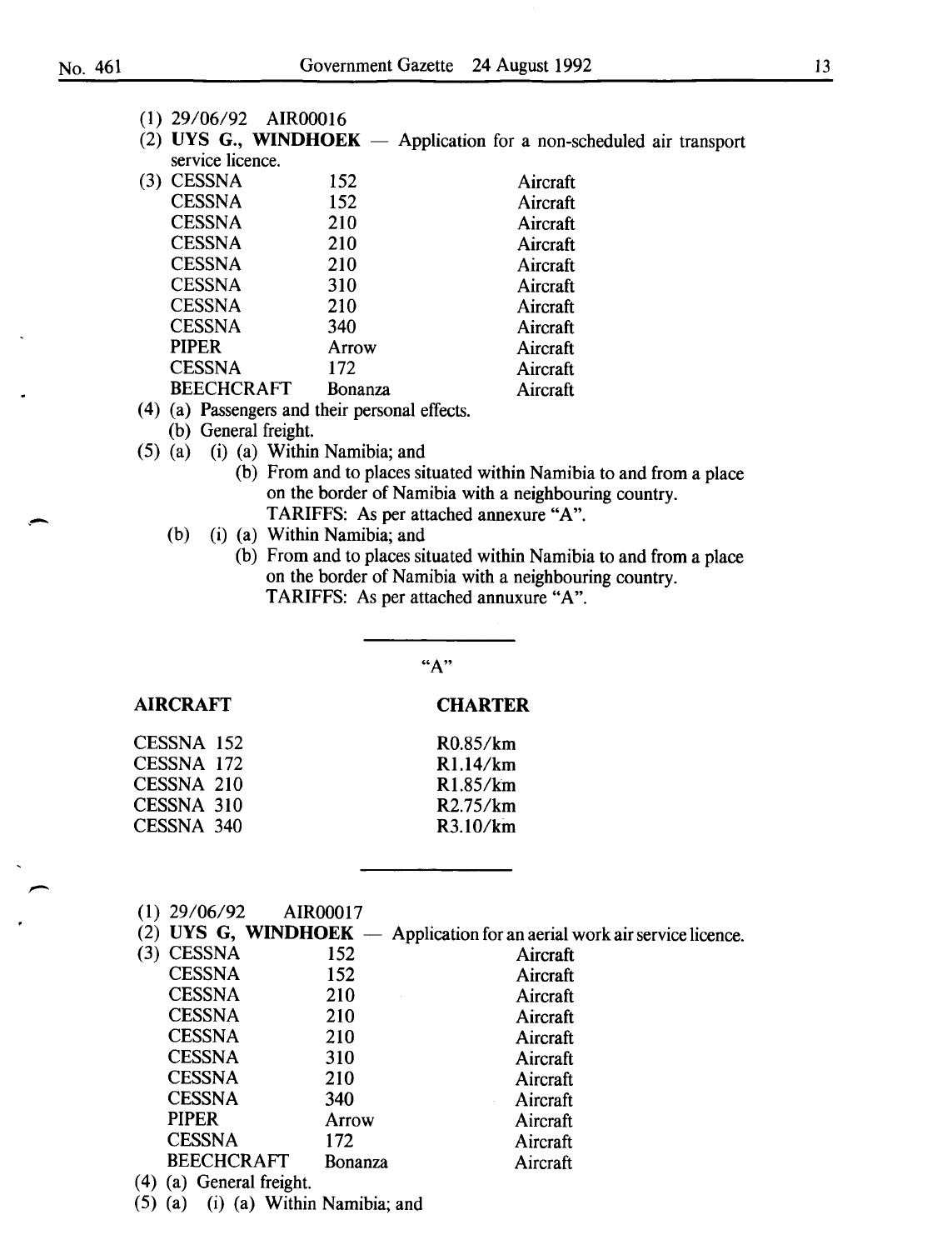. -

|  |  | $(1)$ 29/06/92 | AIR00016 |
|--|--|----------------|----------|
|--|--|----------------|----------|

(2) UYS G., WINDHOEK  $-$  Application for a non-scheduled air transport service licence.

| (3 | <b>CESSNA</b>     | 152            | Aircraft |
|----|-------------------|----------------|----------|
|    | <b>CESSNA</b>     | 152            | Aircraft |
|    | <b>CESSNA</b>     | 210            | Aircraft |
|    | <b>CESSNA</b>     | 210            | Aircraft |
|    | <b>CESSNA</b>     | 210            | Aircraft |
|    | <b>CESSNA</b>     | 310            | Aircraft |
|    | <b>CESSNA</b>     | 210            | Aircraft |
|    | <b>CESSNA</b>     | 340            | Aircraft |
|    | <b>PIPER</b>      | Arrow          | Aircraft |
|    | <b>CESSNA</b>     | 172            | Aircraft |
|    | <b>BEECHCRAFT</b> | <b>Bonanza</b> | Aircraft |
|    |                   |                |          |

- ( 4) (a) Passengers and their personal effects.
	- (b) General freight.

AIRCRAFT

- (5) (a) (i) (a) Within Namibia; and
	- (b) From and to places situated within Namibia to and from a place on the border of Namibia with a neighbouring country. TARIFFS: As per attached annexure "A".
	- (b) (i) (a) Within Namibia; and
		- (b) From and to places situated within Namibia to and from a place on the border of Namibia with a neighbouring country. TARIFFS: As per attached annuxure "A".

**CHARTER** 

R0.85/km Rl.14/km Rl.85/km R2.75/km R3.10/kin

"A"

(1) 29/06/92 AIR00017

(2) UYS G, WINDHOEK  $-$  Application for an aerial work air service licence.

| (3) | <b>CESSNA</b>     | 152     | Aircraft |
|-----|-------------------|---------|----------|
|     | <b>CESSNA</b>     | 152     | Aircraft |
|     | <b>CESSNA</b>     | 210     | Aircraft |
|     | <b>CESSNA</b>     | 210     | Aircraft |
|     | <b>CESSNA</b>     | 210     | Aircraft |
|     | <b>CESSNA</b>     | 310     | Aircraft |
|     | <b>CESSNA</b>     | 210     | Aircraft |
|     | <b>CESSNA</b>     | 340     | Aircraft |
|     | <b>PIPER</b>      | Arrow   | Aircraft |
|     | <b>CESSNA</b>     | 172     | Aircraft |
|     | <b>BEECHCRAFT</b> | Bonanza | Aircraft |
|     |                   |         |          |

( 4) (a) General freight.

(5) (a) (i) (a) Within Namibia; and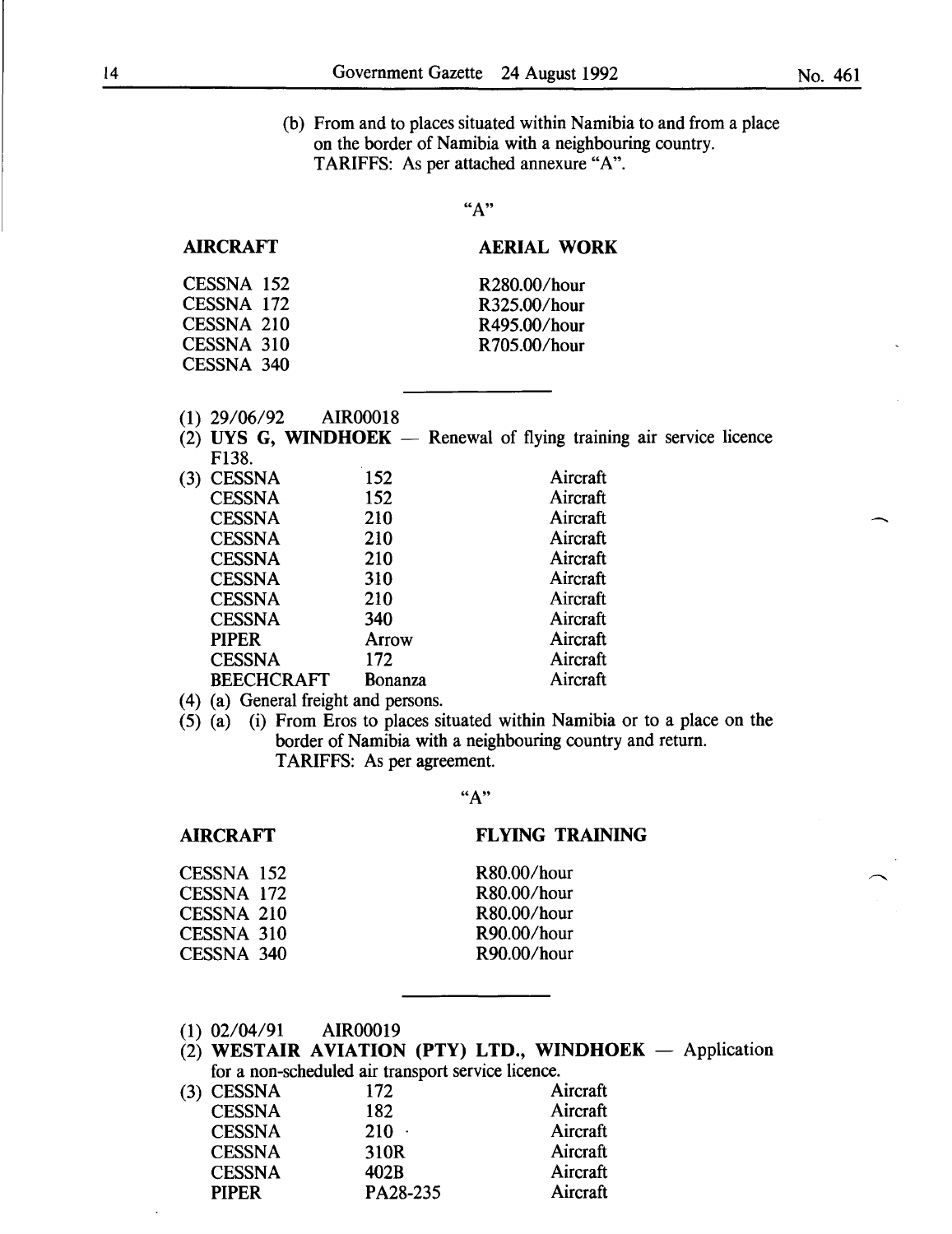-

(b) From and to places situated within Namibia to and from a place on the border of Namibia with a neighbouring country. TARIFFS: As per attached annexure "A".

 $"A"$ 

## AIRCRAFT

## AERIAL WORK

| CESSNA 152 | R280.00/hour |
|------------|--------------|
| CESSNA 172 | R325.00/hour |
| CESSNA 210 | R495.00/hour |
| CESSNA 310 | R705.00/hour |
| CESSNA 340 |              |

- (1) 29/06/92 AIR00018
- (2) UYS G, WINDHOEK  $-$  Renewal of flying training air service licence F138.

| (3) | <b>CESSNA</b>     | 152     | Aircraft |
|-----|-------------------|---------|----------|
|     | <b>CESSNA</b>     | 152     | Aircraft |
|     | <b>CESSNA</b>     | 210     | Aircraft |
|     | <b>CESSNA</b>     | 210     | Aircraft |
|     | <b>CESSNA</b>     | 210     | Aircraft |
|     | <b>CESSNA</b>     | 310     | Aircraft |
|     | <b>CESSNA</b>     | 210     | Aircraft |
|     | <b>CESSNA</b>     | 340     | Aircraft |
|     | <b>PIPER</b>      | Arrow   | Aircraft |
|     | <b>CESSNA</b>     | 172     | Aircraft |
|     | <b>BEECHCRAFT</b> | Bonanza | Aircraft |
|     |                   |         |          |

- (4) (a) General freight and persons.
- (5) (a) (i) From Eros to places situated within Namibia or to a place on the border of Namibia with a neighbouring country and return. TARIFFS: As per agreement.

"A"

## FLYING TRAINING

R80.00/hour R80.00/hour R80.00/hour R90.00/hour R90.00/hour

| CESSNA 152        |  |
|-------------------|--|
| <b>CESSNA 172</b> |  |
| <b>CESSNA 210</b> |  |
| CESSNA 310        |  |
| <b>CESSNA 340</b> |  |

(1) 02/04/91 AIR00019

AIRCRAFT

(2) WESTAIR AVIATION (PTY) LTD., WINDHOEK  $-$  Application for a non-scheduled air transport service licence.

| (3) CESSNA    | 172      | Aircraft |
|---------------|----------|----------|
| <b>CESSNA</b> | 182      | Aircraft |
| <b>CESSNA</b> | $210 -$  | Aircraft |
| <b>CESSNA</b> | 310R     | Aircraft |
| <b>CESSNA</b> | 402B     | Aircraft |
| <b>PIPER</b>  | PA28-235 | Aircraft |
|               |          |          |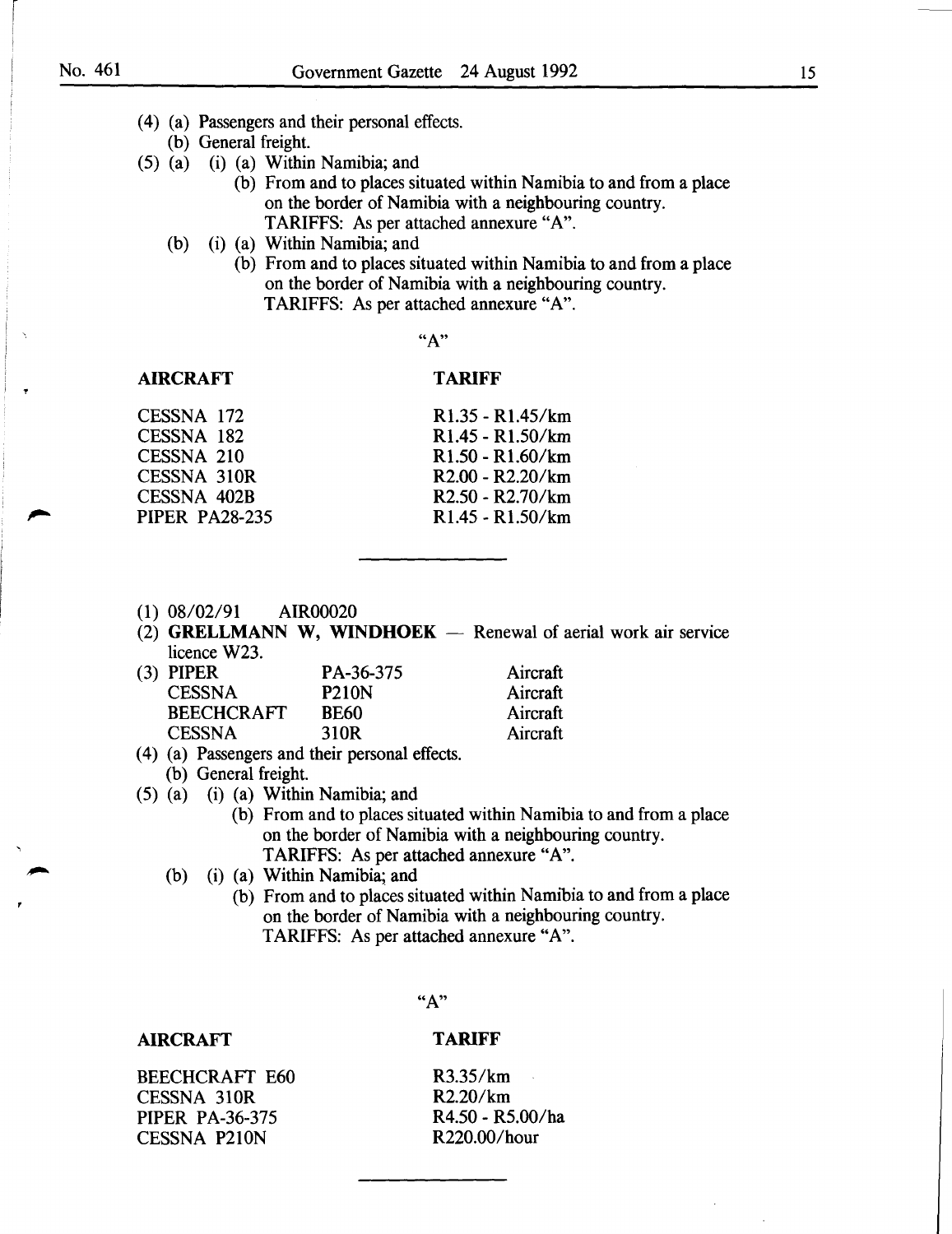- ( 4) (a) Passengers and their personal effects.
	- (b) General freight.
- (5) (a) (i) (a) Within Namibia; and
	- (b) From and to places situated within Namibia to and from a place on the border of Namibia with a neighbouring country. TARIFFS: As per attached annexure "A".
	- (b) (i) (a) Within Namibia; and
		- (b) From and to places situated within Namibia to and from a place on the border of Namibia with a neighbouring country. TARIFFS: As per attached annexure "A".

### AIRCRAFT

#### TARIFF

CESSNA 172 CESSNA 182 CESSNA 210 CESSNA 310R CESSNA 402B PIPER PA28-235

## Rl.35 - Rl.45/km Rl.45 - Rl.50/km Rl.50 - R1.60/km R2.00 - R2.20/km R2.50- R2.70/km Rl.45 - R1.50/km

- (1) 08/02/91 AIR00020
- $(2)$  GRELLMANN W, WINDHOEK Renewal of aerial work air service licence W23.

| (3) PIPER         | PA-36-375    | Aircraft |
|-------------------|--------------|----------|
| <b>CESSNA</b>     | <b>P210N</b> | Aircraft |
| <b>BEECHCRAFT</b> | <b>BE60</b>  | Aircraft |
| <b>CESSNA</b>     | 310R         | Aircraft |
|                   |              |          |

- ( 4) (a) Passengers and their personal effects.
	- (b) General freight.
- (5) (a) (i) (a) Within Namibia; and
	- (b) From and to places situated within Namibia to and from a place on the border of Namibia with a neighbouring country. TARIFFS: As per attached annexure "A".
	- (b) (i) (a) Within Namibia; and
		- (b) From and to places situated within Namibia to and from a place on the border of Namibia with a neighbouring country. TARIFFS: As per attached annexure "A".

"A"

#### AIRCRAFT

### TARIFF

BEECHCRAFf E60 CESSNA 310R PIPER PA-36-375 CESSNA P210N

R3.35/km  $\sim$ R2.20/km R4.50 - R5.00/ha R220.00/hour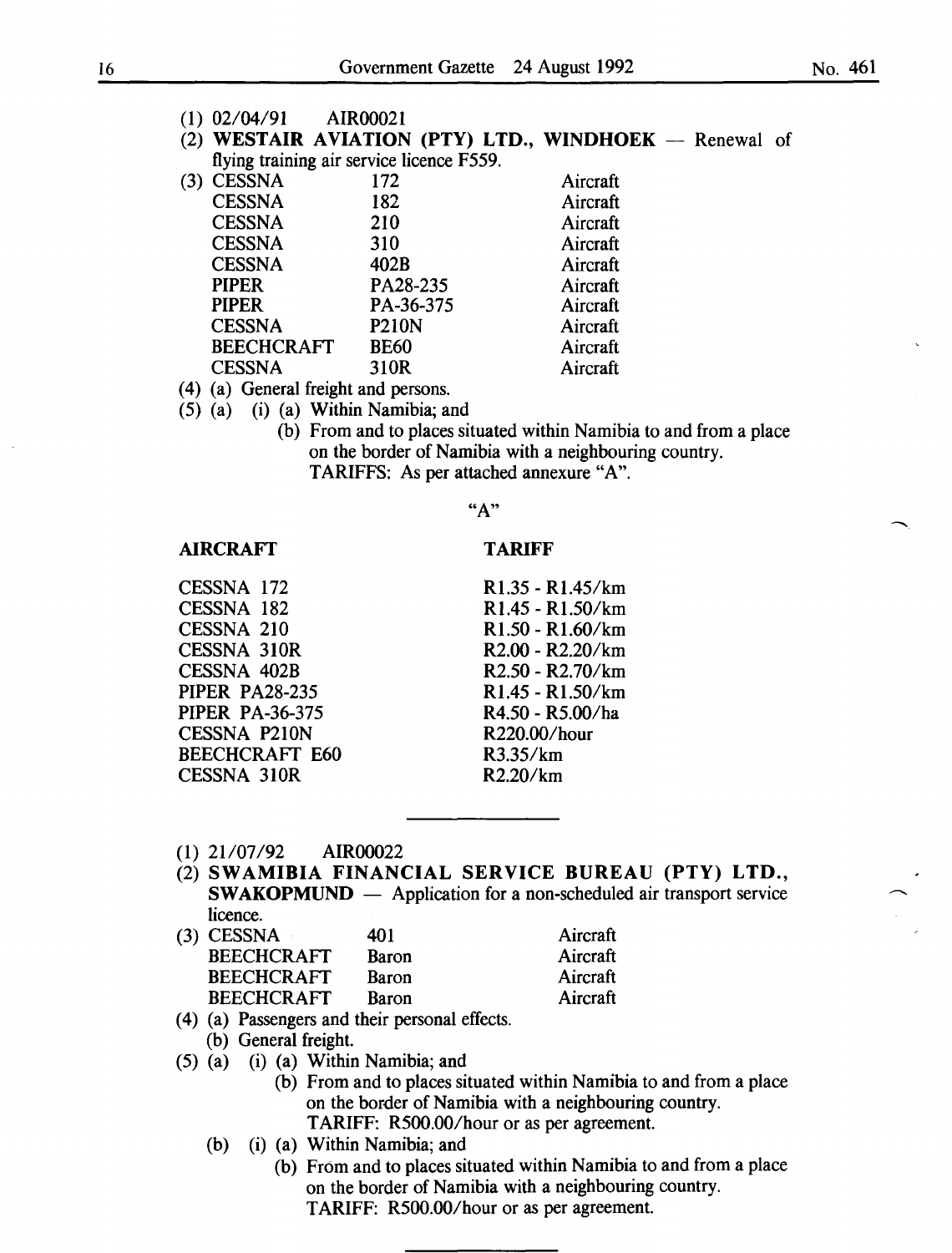(2) WESTAIR AVIATION (PTY) LTD., WINDHOEK  $-$  Renewal of flying training air service licence F559.

| (3) | <b>CESSNA</b>                         | 172          | Aircraft |
|-----|---------------------------------------|--------------|----------|
|     | <b>CESSNA</b>                         | 182          | Aircraft |
|     | <b>CESSNA</b>                         | 210          | Aircraft |
|     | <b>CESSNA</b>                         | 310          | Aircraft |
|     | <b>CESSNA</b>                         | 402B         | Aircraft |
|     | <b>PIPER</b>                          | PA28-235     | Aircraft |
|     | <b>PIPER</b>                          | PA-36-375    | Aircraft |
|     | <b>CESSNA</b>                         | <b>P210N</b> | Aircraft |
|     | <b>BEECHCRAFT</b>                     | <b>BE60</b>  | Aircraft |
|     | <b>CESSNA</b>                         | 310R         | Aircraft |
|     | $(4)$ (a) Conoral frojaht and norgano |              |          |

(4) (a) General freight and persons. (5) (a) (i) (a) Within Namibia; and

(b) From and to places situated within Namibia to and from a place on the border of Namibia with a neighbouring country. TARIFFS: As per attached annexure "A".

TARIFF

#### "A"

#### AIRCRAFT

CESSNA 172 CESSNA 182 CESSNA 210 CESSNA 310R CESSNA 402B PIPER PA28-235 PIPER PA-36-375 CESSNA P210N BEECHCRAFT E60 CESSNA 310R

Rl.35 - Rl.45/km Rl.45 - Rl.50/km Rl.50 - Rl.60/km R2.00 - R2.20/km R2.50 - R2. 70/km R1.45- R1.50/km R4.50 - R5.00/ha R220.00/hour R3.35/km R2.20/km

- (1) 21/07/92 AIR00022
- (2) SWAMIBIA FINANCIAL SERVICE BUREAU (PTY) LTD.,  $SWAKOPMUND$   $-$  Application for a non-scheduled air transport service licence. ıft

| (3) CESSNA        | 401          | Aircraft |
|-------------------|--------------|----------|
| <b>BEECHCRAFT</b> | <b>Baron</b> | Aircraft |
| <b>BEECHCRAFT</b> | <b>Baron</b> | Aircraft |
| <b>BEECHCRAFT</b> | Baron        | Aircraft |
|                   |              |          |

- ( 4) (a) Passengers and their personal effects.
- (b) General freight.
- (5) (a) (i) (a) Within Namibia; and
	- (b) From and to places situated within Namibia to and from a place on the border of Namibia with a neighbouring country. TARIFF: R500.00/hour or as per agreement.
	- (b) (i) (a) Within Namibia; and
		- (b) From and to places situated within Namibia to and from a place on the border of Namibia with a neighbouring country. TARIFF: R500.00/hour or as per agreement.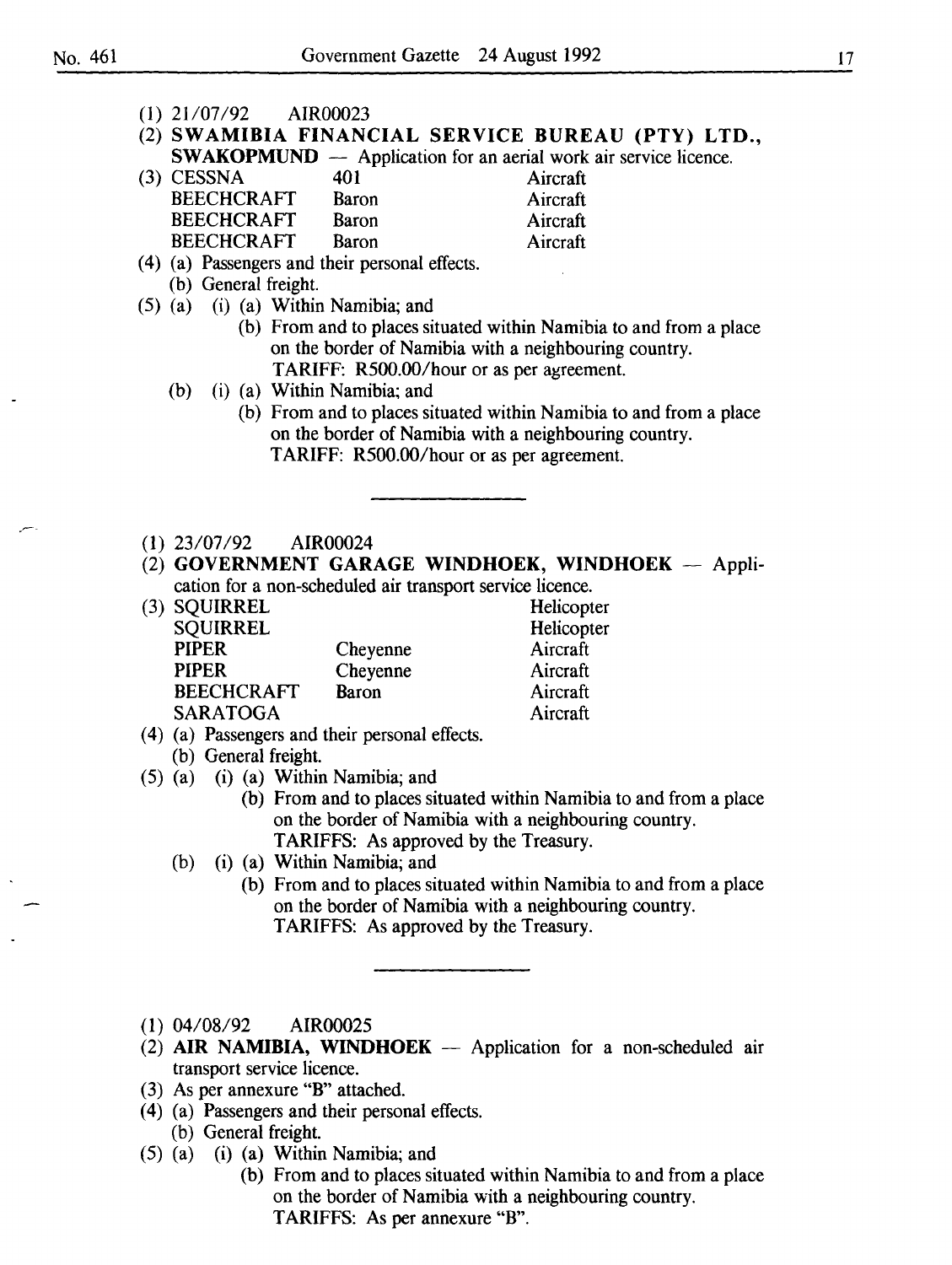| $(1)$ 21/07/92 AIR00023                                                 |                                                                    |
|-------------------------------------------------------------------------|--------------------------------------------------------------------|
| (2) SWAMIBIA FINANCIAL SERVICE BUREAU (PTY) LTD.,                       |                                                                    |
| <b>SWAKOPMUND</b> — Application for an aerial work air service licence. |                                                                    |
| $(3)$ CESSNA<br>401                                                     | Aircraft                                                           |
| <b>BEECHCRAFT</b><br>Baron                                              | Aircraft                                                           |
| <b>BEECHCRAFT</b><br>Baron                                              | Aircraft                                                           |
| <b>BEECHCRAFT</b><br>Baron                                              | Aircraft                                                           |
| (4) (a) Passengers and their personal effects.                          |                                                                    |
| (b) General freight.                                                    |                                                                    |
| $(5)$ (a) (i) (a) Within Namibia; and                                   |                                                                    |
|                                                                         | (b) From and to places situated within Namibia to and from a place |
|                                                                         | on the border of Namibia with a neighbouring country.              |
| TARIFF: R500.00/hour or as per agreement.                               |                                                                    |
| (i) (a) Within Namibia; and<br>(b)                                      |                                                                    |
|                                                                         | (b) From and to places situated within Namibia to and from a place |
|                                                                         | on the border of Namibia with a neighbouring country.              |
| TARIFF: R500.00/hour or as per agreement.                               |                                                                    |
|                                                                         |                                                                    |
|                                                                         |                                                                    |
|                                                                         |                                                                    |
| $(1)$ 23/07/92 AIR00024                                                 |                                                                    |
| (2) GOVERNMENT GARAGE WINDHOEK, WINDHOEK - Appli-                       |                                                                    |
| cation for a non-scheduled air transport service licence.               |                                                                    |
| (3) SQUIRREL                                                            | Helicopter                                                         |
| <b>SQUIRREL</b>                                                         | Helicopter                                                         |
| <b>PIPER</b><br>Cheyenne                                                | Aircraft                                                           |
| <b>PIPER</b><br>Cheyenne                                                | Aircraft                                                           |
| <b>BEECHCRAFT</b><br>Baron                                              | Aircraft                                                           |
| <b>SARATOGA</b>                                                         | Aircraft                                                           |
| (4) (a) Passengers and their personal effects.                          |                                                                    |
| (b) General freight.                                                    |                                                                    |
| $(5)$ (a) (i) (a) Within Namibia; and                                   |                                                                    |
|                                                                         | (b) From and to places situated within Namibia to and from a place |
|                                                                         | on the border of Namibia with a neighbouring country.              |
| TARIFFS: As approved by the Treasury.                                   |                                                                    |
| (i) (a) Within Namibia; and<br>(b)                                      |                                                                    |
|                                                                         | (b) From and to places situated within Namibia to and from a place |
|                                                                         | on the border of Namibia with a neighbouring country.              |
| TARIFFS: As approved by the Treasury.                                   |                                                                    |
|                                                                         |                                                                    |
|                                                                         |                                                                    |
|                                                                         |                                                                    |
|                                                                         |                                                                    |
| $(1)$ 04/08/92<br>AIR00025                                              |                                                                    |
| (2) AIR NAMIBIA, WINDHOEK $-$ Application for a non-scheduled air       |                                                                    |
| transport service licence.                                              |                                                                    |
| (3) As per annexure "B" attached.                                       |                                                                    |

- ( 4) (a) Passengers and their personal effects.
	- (b) General freight.
- (5) (a) (i) (a) Within Namibia; and
	- (b) From and to places situated within Namibia to and from a place on the border of Namibia with a neighbouring country. TARIFFS: As per annexure "B".